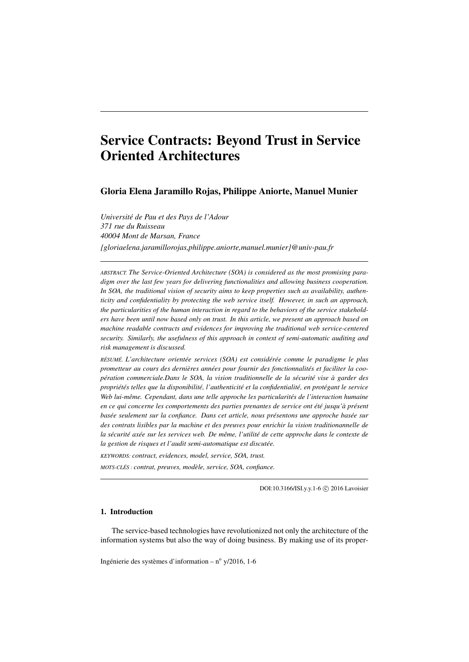# Service Contracts: Beyond Trust in Service Oriented Architectures

# Gloria Elena Jaramillo Rojas, Philippe Aniorte, Manuel Munier

*Université de Pau et des Pays de l'Adour 371 rue du Ruisseau 40004 Mont de Marsan, France {gloriaelena.jaramillorojas,philippe.aniorte,manuel.munier}@univ-pau.fr*

*ABSTRACT. The Service-Oriented Architecture (SOA) is considered as the most promising paradigm over the last few years for delivering functionalities and allowing business cooperation. In SOA, the traditional vision of security aims to keep properties such as availability, authenticity and confidentiality by protecting the web service itself. However, in such an approach, the particularities of the human interaction in regard to the behaviors of the service stakeholders have been until now based only on trust. In this article, we present an approach based on machine readable contracts and evidences for improving the traditional web service-centered security. Similarly, the usefulness of this approach in context of semi-automatic auditing and risk management is discussed.*

*RÉSUMÉ. L'architecture orientée services (SOA) est considérée comme le paradigme le plus prometteur au cours des dernières années pour fournir des fonctionnalités et faciliter la coopération commerciale.Dans le SOA, la vision traditionnelle de la sécurité vise à garder des propriétés telles que la disponibilité, l'authenticité et la confidentialité, en protégant le service Web lui-même. Cependant, dans une telle approche les particularités de l'interaction humaine en ce qui concerne les comportements des parties prenantes de service ont été jusqu'à présent basée seulement sur la confiance. Dans cet article, nous présentons une approche basée sur des contrats lisibles par la machine et des preuves pour enrichir la vision traditionannelle de la sécurité axée sur les services web. De même, l'utilité de cette approche dans le contexte de la gestion de risques et l'audit semi-automatique est discutée.*

*KEYWORDS: contract, evidences, model, service, SOA, trust.*

*MOTS-CLÉS : contrat, preuves, modèle, service, SOA, confiance.*

DOI:10.3166/ISI.y.y.1-6 © 2016 Lavoisier

# 1. Introduction

The service-based technologies have revolutionized not only the architecture of the information systems but also the way of doing business. By making use of its proper-

Ingénierie des systèmes d'information  $- n^{\circ}$  y/2016, 1-6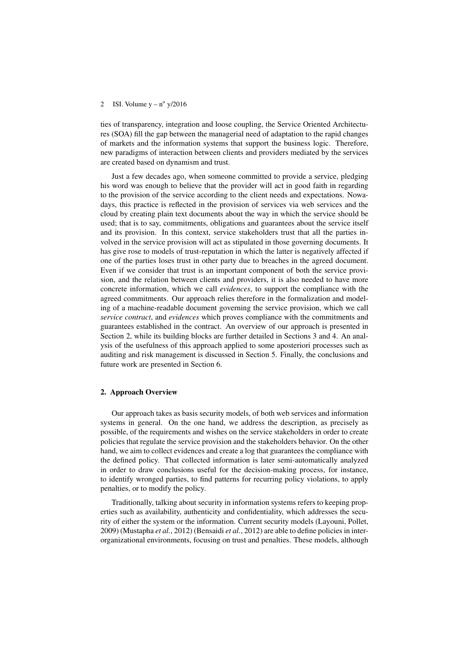### 2 ISI. Volume  $y - n^{\circ} y/2016$

ties of transparency, integration and loose coupling, the Service Oriented Architectures (SOA) fill the gap between the managerial need of adaptation to the rapid changes of markets and the information systems that support the business logic. Therefore, new paradigms of interaction between clients and providers mediated by the services are created based on dynamism and trust.

Just a few decades ago, when someone committed to provide a service, pledging his word was enough to believe that the provider will act in good faith in regarding to the provision of the service according to the client needs and expectations. Nowadays, this practice is reflected in the provision of services via web services and the cloud by creating plain text documents about the way in which the service should be used; that is to say, commitments, obligations and guarantees about the service itself and its provision. In this context, service stakeholders trust that all the parties involved in the service provision will act as stipulated in those governing documents. It has give rose to models of trust-reputation in which the latter is negatively affected if one of the parties loses trust in other party due to breaches in the agreed document. Even if we consider that trust is an important component of both the service provision, and the relation between clients and providers, it is also needed to have more concrete information, which we call *evidences*, to support the compliance with the agreed commitments. Our approach relies therefore in the formalization and modeling of a machine-readable document governing the service provision, which we call *service contract*, and *evidences* which proves compliance with the commitments and guarantees established in the contract. An overview of our approach is presented in Section 2, while its building blocks are further detailed in Sections 3 and 4. An analysis of the usefulness of this approach applied to some aposteriori processes such as auditing and risk management is discussed in Section 5. Finally, the conclusions and future work are presented in Section 6.

# 2. Approach Overview

Our approach takes as basis security models, of both web services and information systems in general. On the one hand, we address the description, as precisely as possible, of the requirements and wishes on the service stakeholders in order to create policies that regulate the service provision and the stakeholders behavior. On the other hand, we aim to collect evidences and create a log that guarantees the compliance with the defined policy. That collected information is later semi-automatically analyzed in order to draw conclusions useful for the decision-making process, for instance, to identify wronged parties, to find patterns for recurring policy violations, to apply penalties, or to modify the policy.

Traditionally, talking about security in information systems refers to keeping properties such as availability, authenticity and confidentiality, which addresses the security of either the system or the information. Current security models (Layouni, Pollet, 2009) (Mustapha *et al.*, 2012) (Bensaidi *et al.*, 2012) are able to define policies in interorganizational environments, focusing on trust and penalties. These models, although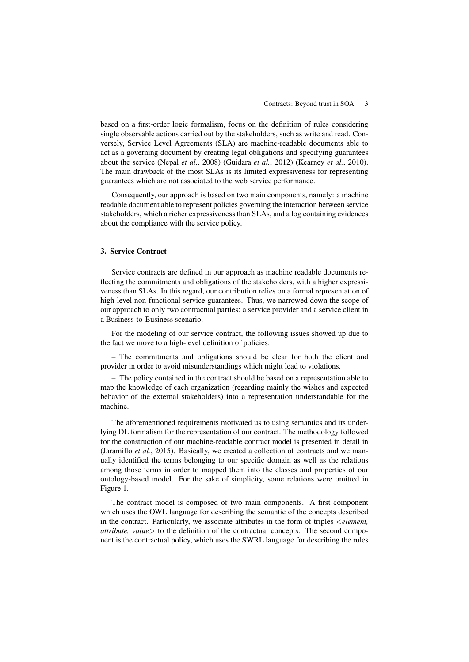based on a first-order logic formalism, focus on the definition of rules considering single observable actions carried out by the stakeholders, such as write and read. Conversely, Service Level Agreements (SLA) are machine-readable documents able to act as a governing document by creating legal obligations and specifying guarantees about the service (Nepal *et al.*, 2008) (Guidara *et al.*, 2012) (Kearney *et al.*, 2010). The main drawback of the most SLAs is its limited expressiveness for representing guarantees which are not associated to the web service performance.

Consequently, our approach is based on two main components, namely: a machine readable document able to represent policies governing the interaction between service stakeholders, which a richer expressiveness than SLAs, and a log containing evidences about the compliance with the service policy.

#### 3. Service Contract

Service contracts are defined in our approach as machine readable documents reflecting the commitments and obligations of the stakeholders, with a higher expressiveness than SLAs. In this regard, our contribution relies on a formal representation of high-level non-functional service guarantees. Thus, we narrowed down the scope of our approach to only two contractual parties: a service provider and a service client in a Business-to-Business scenario.

For the modeling of our service contract, the following issues showed up due to the fact we move to a high-level definition of policies:

– The commitments and obligations should be clear for both the client and provider in order to avoid misunderstandings which might lead to violations.

– The policy contained in the contract should be based on a representation able to map the knowledge of each organization (regarding mainly the wishes and expected behavior of the external stakeholders) into a representation understandable for the machine.

The aforementioned requirements motivated us to using semantics and its underlying DL formalism for the representation of our contract. The methodology followed for the construction of our machine-readable contract model is presented in detail in (Jaramillo *et al.*, 2015). Basically, we created a collection of contracts and we manually identified the terms belonging to our specific domain as well as the relations among those terms in order to mapped them into the classes and properties of our ontology-based model. For the sake of simplicity, some relations were omitted in Figure 1.

The contract model is composed of two main components. A first component which uses the OWL language for describing the semantic of the concepts described in the contract. Particularly, we associate attributes in the form of triples <*element,*  $attribute$ ,  $value$  to the definition of the contractual concepts. The second component is the contractual policy, which uses the SWRL language for describing the rules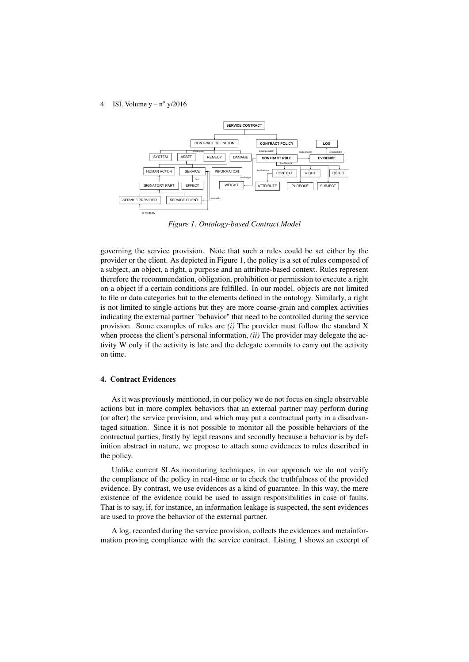### 4 ISI. Volume  $y - n^{\circ} y/2016$



*Figure 1. Ontology-based Contract Model*

governing the service provision. Note that such a rules could be set either by the provider or the client. As depicted in Figure 1, the policy is a set of rules composed of a subject, an object, a right, a purpose and an attribute-based context. Rules represent therefore the recommendation, obligation, prohibition or permission to execute a right on a object if a certain conditions are fulfilled. In our model, objects are not limited to file or data categories but to the elements defined in the ontology. Similarly, a right is not limited to single actions but they are more coarse-grain and complex activities indicating the external partner "behavior" that need to be controlled during the service provision. Some examples of rules are *(i)* The provider must follow the standard X when process the client's personal information, *(ii)* The provider may delegate the activity W only if the activity is late and the delegate commits to carry out the activity on time.

#### 4. Contract Evidences

As it was previously mentioned, in our policy we do not focus on single observable actions but in more complex behaviors that an external partner may perform during (or after) the service provision, and which may put a contractual party in a disadvantaged situation. Since it is not possible to monitor all the possible behaviors of the contractual parties, firstly by legal reasons and secondly because a behavior is by definition abstract in nature, we propose to attach some evidences to rules described in the policy.

Unlike current SLAs monitoring techniques, in our approach we do not verify the compliance of the policy in real-time or to check the truthfulness of the provided evidence. By contrast, we use evidences as a kind of guarantee. In this way, the mere existence of the evidence could be used to assign responsibilities in case of faults. That is to say, if, for instance, an information leakage is suspected, the sent evidences are used to prove the behavior of the external partner.

A log, recorded during the service provision, collects the evidences and metainformation proving compliance with the service contract. Listing 1 shows an excerpt of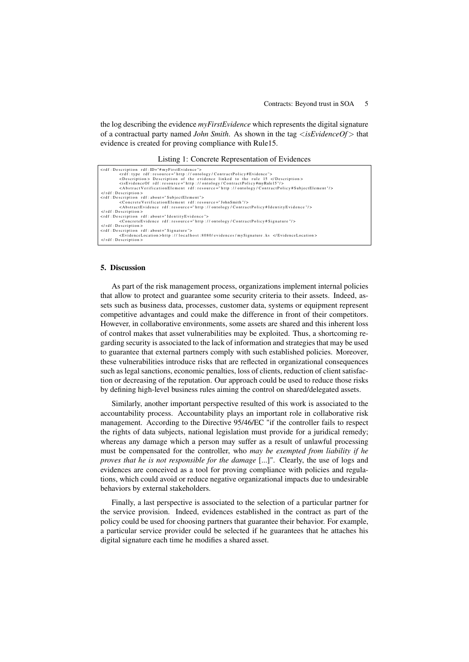the log describing the evidence *myFirstEvidence* which represents the digital signature of a contractual party named *John Smith*. As shown in the tag <*isEvidenceOf*> that evidence is created for proving compliance with Rule15.

Listing 1: Concrete Representation of Evidences

| <rdf: description="" id="#myFirstEvidence" rdf:=""></rdf:>                                                               |
|--------------------------------------------------------------------------------------------------------------------------|
| <rdf:type rdf:resource="http://ontology/ContractPolicy#Evidence"></rdf:type>                                             |
| <description> Description of the evidence linked to the rule 15 </description>                                           |
| <isevidenceof rdf:resource="http://ontology/ContractPolicy#myRule15"></isevidenceof>                                     |
| <abstractverificationelement rdf:resource="http://ontology/ContractPolicy#SubjectElement"></abstractverificationelement> |
| $\langle$ rdf: Description >                                                                                             |
| <rdf: about="SubjectElement" description="" rdf:=""></rdf:>                                                              |
| <concreteverificationelement_rdf:resource="johnsmith"></concreteverificationelement_rdf:resource="johnsmith">            |
| <abstractevidence rdf:resource="http://ontology/ContractPolicy#IdentityEvidence"></abstractevidence>                     |
| $\langle$ rdf: Description >                                                                                             |
| <rdf: about="IdentityEvidence" description="" rdf:=""></rdf:>                                                            |
| <concreteevidence rdf:resource="http://ontology/ContractPolicy#Signature"></concreteevidence>                            |
| $\langle$ rdf: Description >                                                                                             |
| <rdf: about="Signature" description="" rdf:=""></rdf:>                                                                   |
| <evidencelocation>http://localhost:8080/evidences/mySignature.ks </evidencelocation>                                     |
| $\langle$ rdf: Description >                                                                                             |
|                                                                                                                          |

# 5. Discussion

As part of the risk management process, organizations implement internal policies that allow to protect and guarantee some security criteria to their assets. Indeed, assets such as business data, processes, customer data, systems or equipment represent competitive advantages and could make the difference in front of their competitors. However, in collaborative environments, some assets are shared and this inherent loss of control makes that asset vulnerabilities may be exploited. Thus, a shortcoming regarding security is associated to the lack of information and strategies that may be used to guarantee that external partners comply with such established policies. Moreover, these vulnerabilities introduce risks that are reflected in organizational consequences such as legal sanctions, economic penalties, loss of clients, reduction of client satisfaction or decreasing of the reputation. Our approach could be used to reduce those risks by defining high-level business rules aiming the control on shared/delegated assets.

Similarly, another important perspective resulted of this work is associated to the accountability process. Accountability plays an important role in collaborative risk management. According to the Directive 95/46/EC "if the controller fails to respect the rights of data subjects, national legislation must provide for a juridical remedy; whereas any damage which a person may suffer as a result of unlawful processing must be compensated for the controller, who *may be exempted from liability if he proves that he is not responsible for the damage* [...]". Clearly, the use of logs and evidences are conceived as a tool for proving compliance with policies and regulations, which could avoid or reduce negative organizational impacts due to undesirable behaviors by external stakeholders.

Finally, a last perspective is associated to the selection of a particular partner for the service provision. Indeed, evidences established in the contract as part of the policy could be used for choosing partners that guarantee their behavior. For example, a particular service provider could be selected if he guarantees that he attaches his digital signature each time he modifies a shared asset.